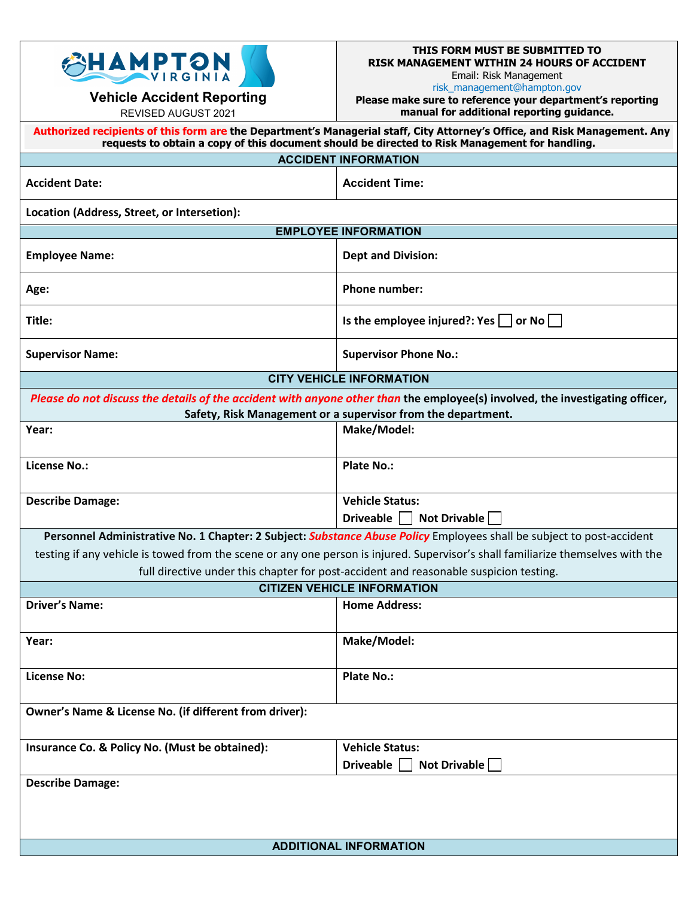

**Vehicle Accident Reporting**  REVISED AUGUST 2021

## **THIS FORM MUST BE SUBMITTED TO RISK MANAGEMENT WITHIN 24 HOURS OF ACCIDENT** Email: Risk Management

risk\_management@hampton.gov

**Please make sure to reference your department's reporting manual for additional reporting guidance.**

| Authorized recipients of this form are the Department's Managerial staff, City Attorney's Office, and Risk Management. Any<br>requests to obtain a copy of this document should be directed to Risk Management for handling.                             |                                                            |
|----------------------------------------------------------------------------------------------------------------------------------------------------------------------------------------------------------------------------------------------------------|------------------------------------------------------------|
|                                                                                                                                                                                                                                                          | <b>ACCIDENT INFORMATION</b>                                |
| <b>Accident Date:</b>                                                                                                                                                                                                                                    | <b>Accident Time:</b>                                      |
| Location (Address, Street, or Intersetion):                                                                                                                                                                                                              |                                                            |
| <b>EMPLOYEE INFORMATION</b>                                                                                                                                                                                                                              |                                                            |
| <b>Employee Name:</b>                                                                                                                                                                                                                                    | <b>Dept and Division:</b>                                  |
| Age:                                                                                                                                                                                                                                                     | <b>Phone number:</b>                                       |
| Title:                                                                                                                                                                                                                                                   | Is the employee injured?: Yes $ $<br>or No $\vert$ $\vert$ |
| <b>Supervisor Name:</b>                                                                                                                                                                                                                                  | <b>Supervisor Phone No.:</b>                               |
| <b>CITY VEHICLE INFORMATION</b>                                                                                                                                                                                                                          |                                                            |
| Please do not discuss the details of the accident with anyone other than the employee(s) involved, the investigating officer,<br>Safety, Risk Management or a supervisor from the department.                                                            |                                                            |
| Year:                                                                                                                                                                                                                                                    | Make/Model:                                                |
| <b>License No.:</b>                                                                                                                                                                                                                                      | <b>Plate No.:</b>                                          |
| <b>Describe Damage:</b>                                                                                                                                                                                                                                  | <b>Vehicle Status:</b><br>Not Drivable<br>Driveable        |
|                                                                                                                                                                                                                                                          |                                                            |
| Personnel Administrative No. 1 Chapter: 2 Subject: Substance Abuse Policy Employees shall be subject to post-accident<br>testing if any vehicle is towed from the scene or any one person is injured. Supervisor's shall familiarize themselves with the |                                                            |
| full directive under this chapter for post-accident and reasonable suspicion testing.                                                                                                                                                                    |                                                            |
| <b>CITIZEN VEHICLE INFORMATION</b>                                                                                                                                                                                                                       |                                                            |
| <b>Driver's Name:</b>                                                                                                                                                                                                                                    | <b>Home Address:</b>                                       |
| Year:                                                                                                                                                                                                                                                    | Make/Model:                                                |
| <b>License No:</b>                                                                                                                                                                                                                                       | <b>Plate No.:</b>                                          |
| Owner's Name & License No. (if different from driver):                                                                                                                                                                                                   |                                                            |
| Insurance Co. & Policy No. (Must be obtained):                                                                                                                                                                                                           | <b>Vehicle Status:</b>                                     |
|                                                                                                                                                                                                                                                          | <b>Not Drivable</b><br><b>Driveable</b>                    |
| <b>Describe Damage:</b>                                                                                                                                                                                                                                  |                                                            |
|                                                                                                                                                                                                                                                          |                                                            |
|                                                                                                                                                                                                                                                          |                                                            |
| <b>ADDITIONAL INFORMATION</b>                                                                                                                                                                                                                            |                                                            |